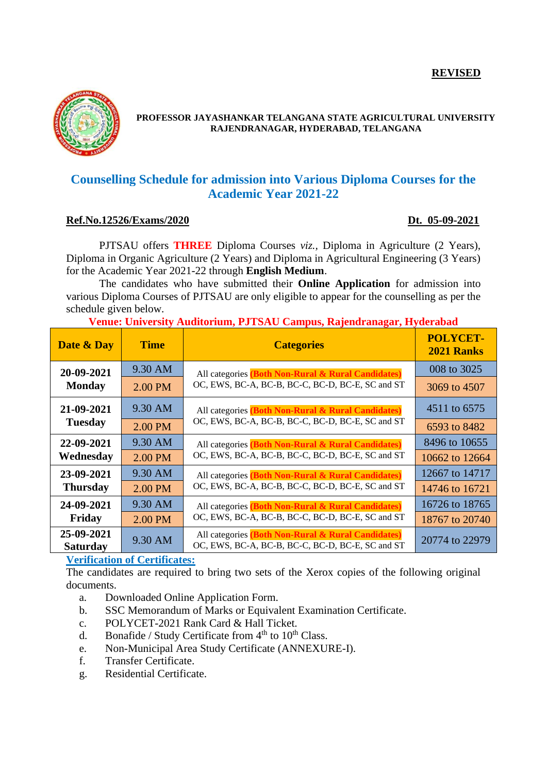#### **REVISED**



#### **PROFESSOR JAYASHANKAR TELANGANA STATE AGRICULTURAL UNIVERSITY RAJENDRANAGAR, HYDERABAD, TELANGANA**

# **Counselling Schedule for admission into Various Diploma Courses for the Academic Year 2021-22**

#### **Ref.No.12526/Exams/2020 Dt. 05-09-2021**

PJTSAU offers **THREE** Diploma Courses *viz.,* Diploma in Agriculture (2 Years), Diploma in Organic Agriculture (2 Years) and Diploma in Agricultural Engineering (3 Years) for the Academic Year 2021-22 through **English Medium**.

The candidates who have submitted their **Online Application** for admission into various Diploma Courses of PJTSAU are only eligible to appear for the counselling as per the schedule given below.

## **Venue: University Auditorium, PJTSAU Campus, Rajendranagar, Hyderabad**

| Date & Day                    | <b>Time</b> | <b>Categories</b>                                                                                      | <b>POLYCET-</b><br><b>2021 Ranks</b> |
|-------------------------------|-------------|--------------------------------------------------------------------------------------------------------|--------------------------------------|
| 20-09-2021<br><b>Monday</b>   | 9.30 AM     | All categories (Both Non-Rural & Rural Candidates)<br>OC, EWS, BC-A, BC-B, BC-C, BC-D, BC-E, SC and ST | 008 to 3025                          |
|                               | 2.00 PM     |                                                                                                        | 3069 to 4507                         |
| 21-09-2021<br><b>Tuesday</b>  | 9.30 AM     | All categories (Both Non-Rural & Rural Candidates)<br>OC, EWS, BC-A, BC-B, BC-C, BC-D, BC-E, SC and ST | 4511 to 6575                         |
|                               | 2.00 PM     |                                                                                                        | 6593 to 8482                         |
| 22-09-2021<br>Wednesday       | 9.30 AM     | All categories (Both Non-Rural & Rural Candidates)<br>OC, EWS, BC-A, BC-B, BC-C, BC-D, BC-E, SC and ST | 8496 to 10655                        |
|                               | 2.00 PM     |                                                                                                        | 10662 to 12664                       |
| 23-09-2021<br><b>Thursday</b> | 9.30 AM     | All categories (Both Non-Rural & Rural Candidates)<br>OC, EWS, BC-A, BC-B, BC-C, BC-D, BC-E, SC and ST | 12667 to 14717                       |
|                               | 2.00 PM     |                                                                                                        | 14746 to 16721                       |
| 24-09-2021<br>Friday          | 9.30 AM     | All categories (Both Non-Rural & Rural Candidates)<br>OC, EWS, BC-A, BC-B, BC-C, BC-D, BC-E, SC and ST | 16726 to 18765                       |
|                               | 2.00 PM     |                                                                                                        | 18767 to 20740                       |
| 25-09-2021<br><b>Saturday</b> | 9.30 AM     | All categories (Both Non-Rural & Rural Candidates)<br>OC, EWS, BC-A, BC-B, BC-C, BC-D, BC-E, SC and ST | 20774 to 22979                       |

## **Verification of Certificates:**

The candidates are required to bring two sets of the Xerox copies of the following original documents.

- a. Downloaded Online Application Form.
- b. SSC Memorandum of Marks or Equivalent Examination Certificate.
- c. POLYCET-2021 Rank Card & Hall Ticket.
- d. Bonafide / Study Certificate from  $4<sup>th</sup>$  to  $10<sup>th</sup>$  Class.
- e. Non-Municipal Area Study Certificate (ANNEXURE-I).
- f. Transfer Certificate.
- g. Residential Certificate.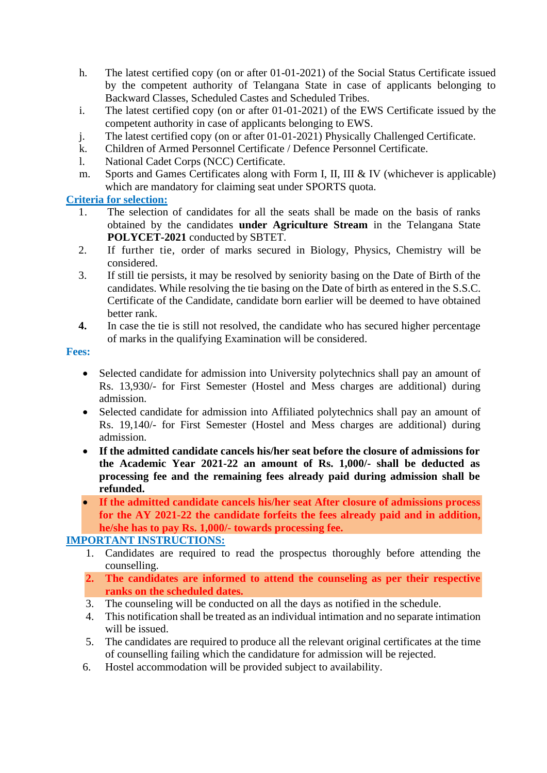- h. The latest certified copy (on or after 01-01-2021) of the Social Status Certificate issued by the competent authority of Telangana State in case of applicants belonging to Backward Classes, Scheduled Castes and Scheduled Tribes.
- i. The latest certified copy (on or after 01-01-2021) of the EWS Certificate issued by the competent authority in case of applicants belonging to EWS.
- j. The latest certified copy (on or after 01-01-2021) Physically Challenged Certificate.
- k. Children of Armed Personnel Certificate / Defence Personnel Certificate.
- l. National Cadet Corps (NCC) Certificate.
- m. Sports and Games Certificates along with Form I, II, III & IV (whichever is applicable) which are mandatory for claiming seat under SPORTS quota.

## **Criteria for selection:**

- 1. The selection of candidates for all the seats shall be made on the basis of ranks obtained by the candidates **under Agriculture Stream** in the Telangana State **POLYCET-2021** conducted by SBTET.
- 2. If further tie, order of marks secured in Biology, Physics, Chemistry will be considered.
- 3. If still tie persists, it may be resolved by seniority basing on the Date of Birth of the candidates. While resolving the tie basing on the Date of birth as entered in the S.S.C. Certificate of the Candidate, candidate born earlier will be deemed to have obtained better rank.
- **4.** In case the tie is still not resolved, the candidate who has secured higher percentage of marks in the qualifying Examination will be considered.

#### **Fees:**

- Selected candidate for admission into University polytechnics shall pay an amount of Rs. 13,930/- for First Semester (Hostel and Mess charges are additional) during admission.
- Selected candidate for admission into Affiliated polytechnics shall pay an amount of Rs. 19,140/- for First Semester (Hostel and Mess charges are additional) during admission.
- **If the admitted candidate cancels his/her seat before the closure of admissions for the Academic Year 2021-22 an amount of Rs. 1,000/- shall be deducted as processing fee and the remaining fees already paid during admission shall be refunded.**
- **If the admitted candidate cancels his/her seat After closure of admissions process for the AY 2021-22 the candidate forfeits the fees already paid and in addition, he/she has to pay Rs. 1,000/- towards processing fee.**

## **IMPORTANT INSTRUCTIONS:**

- 1. Candidates are required to read the prospectus thoroughly before attending the counselling.
- **2. The candidates are informed to attend the counseling as per their respective ranks on the scheduled dates.**
- 3. The counseling will be conducted on all the days as notified in the schedule.
- 4. This notification shall be treated as an individual intimation and no separate intimation will be issued.
- 5. The candidates are required to produce all the relevant original certificates at the time of counselling failing which the candidature for admission will be rejected.
- 6. Hostel accommodation will be provided subject to availability.